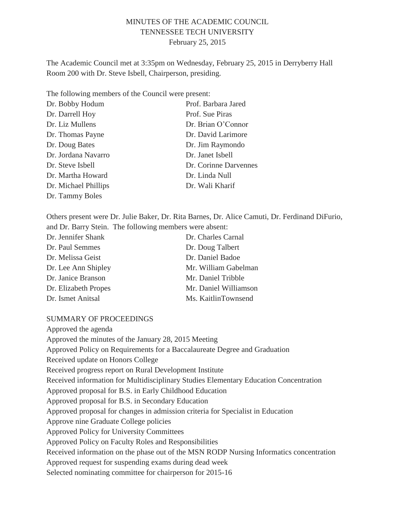## MINUTES OF THE ACADEMIC COUNCIL TENNESSEE TECH UNIVERSITY February 25, 2015

The Academic Council met at 3:35pm on Wednesday, February 25, 2015 in Derryberry Hall Room 200 with Dr. Steve Isbell, Chairperson, presiding.

The following members of the Council were present:

| Dr. Bobby Hodum      | Prof. Barbara Jared   |
|----------------------|-----------------------|
| Dr. Darrell Hoy      | Prof. Sue Piras       |
| Dr. Liz Mullens      | Dr. Brian O'Connor    |
| Dr. Thomas Payne     | Dr. David Larimore    |
| Dr. Doug Bates       | Dr. Jim Raymondo      |
| Dr. Jordana Navarro  | Dr. Janet Isbell      |
| Dr. Steve Isbell     | Dr. Corinne Darvennes |
| Dr. Martha Howard    | Dr. Linda Null        |
| Dr. Michael Phillips | Dr. Wali Kharif       |
| Dr. Tammy Boles      |                       |

Others present were Dr. Julie Baker, Dr. Rita Barnes, Dr. Alice Camuti, Dr. Ferdinand DiFurio, and Dr. Barry Stein. The following members were absent:

| Dr. Jennifer Shank   | Dr. Charles Carnal    |
|----------------------|-----------------------|
| Dr. Paul Semmes      | Dr. Doug Talbert      |
| Dr. Melissa Geist    | Dr. Daniel Badoe      |
| Dr. Lee Ann Shipley  | Mr. William Gabelman  |
| Dr. Janice Branson   | Mr. Daniel Tribble    |
| Dr. Elizabeth Propes | Mr. Daniel Williamson |
| Dr. Ismet Anitsal    | Ms. KaitlinTownsend   |

#### SUMMARY OF PROCEEDINGS

Approved the agenda Approved the minutes of the January 28, 2015 Meeting Approved Policy on Requirements for a Baccalaureate Degree and Graduation Received update on Honors College Received progress report on Rural Development Institute Received information for Multidisciplinary Studies Elementary Education Concentration Approved proposal for B.S. in Early Childhood Education Approved proposal for B.S. in Secondary Education Approved proposal for changes in admission criteria for Specialist in Education Approve nine Graduate College policies Approved Policy for University Committees Approved Policy on Faculty Roles and Responsibilities Received information on the phase out of the MSN RODP Nursing Informatics concentration Approved request for suspending exams during dead week Selected nominating committee for chairperson for 2015-16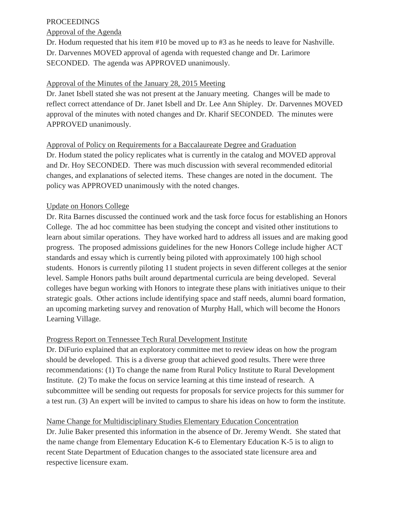## PROCEEDINGS

## Approval of the Agenda

Dr. Hodum requested that his item #10 be moved up to #3 as he needs to leave for Nashville. Dr. Darvennes MOVED approval of agenda with requested change and Dr. Larimore SECONDED. The agenda was APPROVED unanimously.

## Approval of the Minutes of the January 28, 2015 Meeting

Dr. Janet Isbell stated she was not present at the January meeting. Changes will be made to reflect correct attendance of Dr. Janet Isbell and Dr. Lee Ann Shipley. Dr. Darvennes MOVED approval of the minutes with noted changes and Dr. Kharif SECONDED. The minutes were APPROVED unanimously.

# Approval of Policy on Requirements for a Baccalaureate Degree and Graduation

Dr. Hodum stated the policy replicates what is currently in the catalog and MOVED approval and Dr. Hoy SECONDED. There was much discussion with several recommended editorial changes, and explanations of selected items. These changes are noted in the document. The policy was APPROVED unanimously with the noted changes.

## Update on Honors College

Dr. Rita Barnes discussed the continued work and the task force focus for establishing an Honors College. The ad hoc committee has been studying the concept and visited other institutions to learn about similar operations. They have worked hard to address all issues and are making good progress. The proposed admissions guidelines for the new Honors College include higher ACT standards and essay which is currently being piloted with approximately 100 high school students. Honors is currently piloting 11 student projects in seven different colleges at the senior level. Sample Honors paths built around departmental curricula are being developed. Several colleges have begun working with Honors to integrate these plans with initiatives unique to their strategic goals. Other actions include identifying space and staff needs, alumni board formation, an upcoming marketing survey and renovation of Murphy Hall, which will become the Honors Learning Village.

## Progress Report on Tennessee Tech Rural Development Institute

Dr. DiFurio explained that an exploratory committee met to review ideas on how the program should be developed. This is a diverse group that achieved good results. There were three recommendations: (1) To change the name from Rural Policy Institute to Rural Development Institute. (2) To make the focus on service learning at this time instead of research. A subcommittee will be sending out requests for proposals for service projects for this summer for a test run. (3) An expert will be invited to campus to share his ideas on how to form the institute.

#### Name Change for Multidisciplinary Studies Elementary Education Concentration

Dr. Julie Baker presented this information in the absence of Dr. Jeremy Wendt. She stated that the name change from Elementary Education K-6 to Elementary Education K-5 is to align to recent State Department of Education changes to the associated state licensure area and respective licensure exam.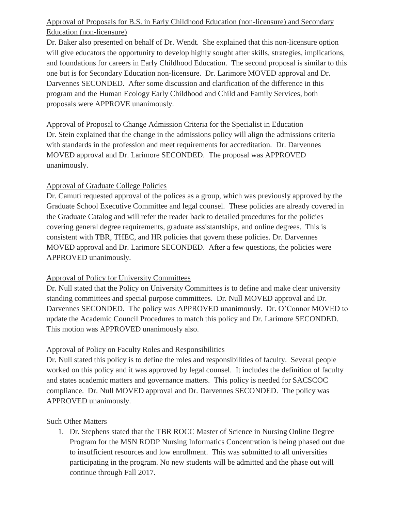# Approval of Proposals for B.S. in Early Childhood Education (non-licensure) and Secondary Education (non-licensure)

Dr. Baker also presented on behalf of Dr. Wendt. She explained that this non-licensure option will give educators the opportunity to develop highly sought after skills, strategies, implications, and foundations for careers in Early Childhood Education. The second proposal is similar to this one but is for Secondary Education non-licensure. Dr. Larimore MOVED approval and Dr. Darvennes SECONDED. After some discussion and clarification of the difference in this program and the Human Ecology Early Childhood and Child and Family Services, both proposals were APPROVE unanimously.

Approval of Proposal to Change Admission Criteria for the Specialist in Education Dr. Stein explained that the change in the admissions policy will align the admissions criteria with standards in the profession and meet requirements for accreditation. Dr. Darvennes MOVED approval and Dr. Larimore SECONDED. The proposal was APPROVED unanimously.

## Approval of Graduate College Policies

Dr. Camuti requested approval of the polices as a group, which was previously approved by the Graduate School Executive Committee and legal counsel. These policies are already covered in the Graduate Catalog and will refer the reader back to detailed procedures for the policies covering general degree requirements, graduate assistantships, and online degrees. This is consistent with TBR, THEC, and HR policies that govern these policies. Dr. Darvennes MOVED approval and Dr. Larimore SECONDED. After a few questions, the policies were APPROVED unanimously.

# Approval of Policy for University Committees

Dr. Null stated that the Policy on University Committees is to define and make clear university standing committees and special purpose committees. Dr. Null MOVED approval and Dr. Darvennes SECONDED. The policy was APPROVED unanimously. Dr. O'Connor MOVED to update the Academic Council Procedures to match this policy and Dr. Larimore SECONDED. This motion was APPROVED unanimously also.

# Approval of Policy on Faculty Roles and Responsibilities

Dr. Null stated this policy is to define the roles and responsibilities of faculty. Several people worked on this policy and it was approved by legal counsel. It includes the definition of faculty and states academic matters and governance matters. This policy is needed for SACSCOC compliance. Dr. Null MOVED approval and Dr. Darvennes SECONDED. The policy was APPROVED unanimously.

# Such Other Matters

1. Dr. Stephens stated that the TBR ROCC Master of Science in Nursing Online Degree Program for the MSN RODP Nursing Informatics Concentration is being phased out due to insufficient resources and low enrollment. This was submitted to all universities participating in the program. No new students will be admitted and the phase out will continue through Fall 2017.